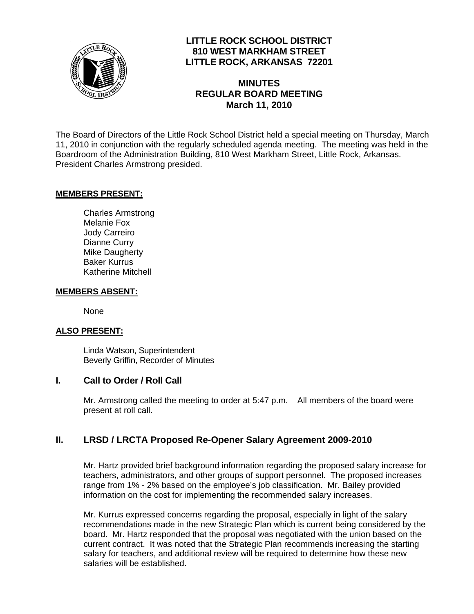

## **LITTLE ROCK SCHOOL DISTRICT 810 WEST MARKHAM STREET LITTLE ROCK, ARKANSAS 72201**

# **MINUTES REGULAR BOARD MEETING March 11, 2010**

The Board of Directors of the Little Rock School District held a special meeting on Thursday, March 11, 2010 in conjunction with the regularly scheduled agenda meeting. The meeting was held in the Boardroom of the Administration Building, 810 West Markham Street, Little Rock, Arkansas. President Charles Armstrong presided.

### **MEMBERS PRESENT:**

Charles Armstrong Melanie Fox Jody Carreiro Dianne Curry Mike Daugherty Baker Kurrus Katherine Mitchell

#### **MEMBERS ABSENT:**

None

#### **ALSO PRESENT:**

 Linda Watson, Superintendent Beverly Griffin, Recorder of Minutes

#### **I. Call to Order / Roll Call**

Mr. Armstrong called the meeting to order at 5:47 p.m. All members of the board were present at roll call.

### **II. LRSD / LRCTA Proposed Re-Opener Salary Agreement 2009-2010**

Mr. Hartz provided brief background information regarding the proposed salary increase for teachers, administrators, and other groups of support personnel. The proposed increases range from 1% - 2% based on the employee's job classification. Mr. Bailey provided information on the cost for implementing the recommended salary increases.

Mr. Kurrus expressed concerns regarding the proposal, especially in light of the salary recommendations made in the new Strategic Plan which is current being considered by the board. Mr. Hartz responded that the proposal was negotiated with the union based on the current contract. It was noted that the Strategic Plan recommends increasing the starting salary for teachers, and additional review will be required to determine how these new salaries will be established.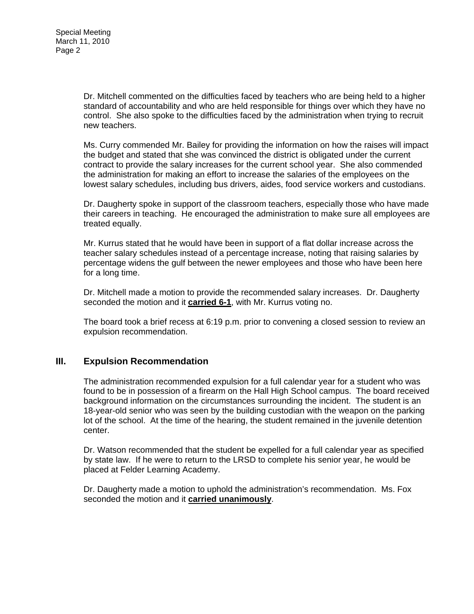Dr. Mitchell commented on the difficulties faced by teachers who are being held to a higher standard of accountability and who are held responsible for things over which they have no control. She also spoke to the difficulties faced by the administration when trying to recruit new teachers.

Ms. Curry commended Mr. Bailey for providing the information on how the raises will impact the budget and stated that she was convinced the district is obligated under the current contract to provide the salary increases for the current school year. She also commended the administration for making an effort to increase the salaries of the employees on the lowest salary schedules, including bus drivers, aides, food service workers and custodians.

Dr. Daugherty spoke in support of the classroom teachers, especially those who have made their careers in teaching. He encouraged the administration to make sure all employees are treated equally.

Mr. Kurrus stated that he would have been in support of a flat dollar increase across the teacher salary schedules instead of a percentage increase, noting that raising salaries by percentage widens the gulf between the newer employees and those who have been here for a long time.

Dr. Mitchell made a motion to provide the recommended salary increases. Dr. Daugherty seconded the motion and it **carried 6-1**, with Mr. Kurrus voting no.

The board took a brief recess at 6:19 p.m. prior to convening a closed session to review an expulsion recommendation.

### **III. Expulsion Recommendation**

The administration recommended expulsion for a full calendar year for a student who was found to be in possession of a firearm on the Hall High School campus. The board received background information on the circumstances surrounding the incident. The student is an 18-year-old senior who was seen by the building custodian with the weapon on the parking lot of the school. At the time of the hearing, the student remained in the juvenile detention center.

Dr. Watson recommended that the student be expelled for a full calendar year as specified by state law. If he were to return to the LRSD to complete his senior year, he would be placed at Felder Learning Academy.

Dr. Daugherty made a motion to uphold the administration's recommendation. Ms. Fox seconded the motion and it **carried unanimously**.